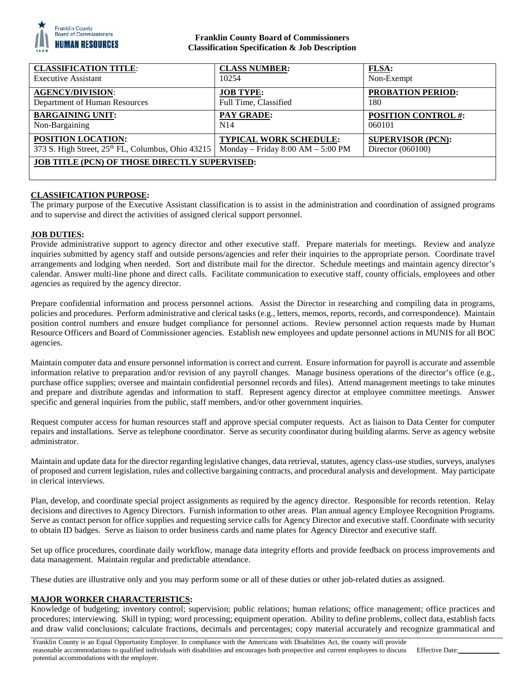

## **Franklin County Board of Commissioners Classification Specification & Job Description**

| <b>CLASSIFICATION TITLE:</b>                                  | <b>CLASS NUMBER:</b>                | <b>FLSA:</b>               |
|---------------------------------------------------------------|-------------------------------------|----------------------------|
| <b>Executive Assistant</b>                                    | 10254                               | Non-Exempt                 |
| <b>AGENCY/DIVISION:</b>                                       | <b>JOB TYPE:</b>                    | <b>PROBATION PERIOD:</b>   |
| Department of Human Resources                                 | Full Time, Classified               | 180                        |
| <b>BARGAINING UNIT:</b>                                       | PAY GRADE:                          | <b>POSITION CONTROL #:</b> |
| Non-Bargaining                                                | N <sub>14</sub>                     | 060101                     |
| <b>POSITION LOCATION:</b>                                     | <b>TYPICAL WORK SCHEDULE:</b>       | <b>SUPERVISOR (PCN):</b>   |
| 373 S. High Street, 25 <sup>th</sup> FL, Columbus, Ohio 43215 | Monday – Friday $8:00 AM - 5:00 PM$ | Director (060100)          |
| <b>JOB TITLE (PCN) OF THOSE DIRECTLY SUPERVISED:</b>          |                                     |                            |

# **CLASSIFICATION PURPOSE:**

The primary purpose of the Executive Assistant classification is to assist in the administration and coordination of assigned programs and to supervise and direct the activities of assigned clerical support personnel.

## **JOB DUTIES:**

Provide administrative support to agency director and other executive staff. Prepare materials for meetings. Review and analyze inquiries submitted by agency staff and outside persons/agencies and refer their inquiries to the appropriate person. Coordinate travel arrangements and lodging when needed. Sort and distribute mail for the director. Schedule meetings and maintain agency director's calendar. Answer multi-line phone and direct calls. Facilitate communication to executive staff, county officials, employees and other agencies as required by the agency director.

Prepare confidential information and process personnel actions. Assist the Director in researching and compiling data in programs, policies and procedures. Perform administrative and clerical tasks (e.g., letters, memos, reports, records, and correspondence). Maintain position control numbers and ensure budget compliance for personnel actions. Review personnel action requests made by Human Resource Officers and Board of Commissioner agencies. Establish new employees and update personnel actions in MUNIS for all BOC agencies.

Maintain computer data and ensure personnel information is correct and current. Ensure information for payroll is accurate and assemble information relative to preparation and/or revision of any payroll changes. Manage business operations of the director's office (e.g., purchase office supplies; oversee and maintain confidential personnel records and files). Attend management meetings to take minutes and prepare and distribute agendas and information to staff. Represent agency director at employee committee meetings. Answer specific and general inquiries from the public, staff members, and/or other government inquiries.

Request computer access for human resources staff and approve special computer requests. Act as liaison to Data Center for computer repairs and installations. Serve as telephone coordinator. Serve as security coordinator during building alarms. Serve as agency website administrator.

Maintain and update data for the director regarding legislative changes, data retrieval, statutes, agency class-use studies, surveys, analyses of proposed and current legislation, rules and collective bargaining contracts, and procedural analysis and development. May participate in clerical interviews.

Plan, develop, and coordinate special project assignments as required by the agency director. Responsible for records retention. Relay decisions and directives to Agency Directors. Furnish information to other areas. Plan annual agency Employee Recognition Programs. Serve as contact person for office supplies and requesting service calls for Agency Director and executive staff. Coordinate with security to obtain ID badges. Serve as liaison to order business cards and name plates for Agency Director and executive staff.

Set up office procedures, coordinate daily workflow, manage data integrity efforts and provide feedback on process improvements and data management. Maintain regular and predictable attendance.

These duties are illustrative only and you may perform some or all of these duties or other job-related duties as assigned.

## **MAJOR WORKER CHARACTERISTICS:**

Knowledge of budgeting; inventory control; supervision; public relations; human relations; office management; office practices and procedures; interviewing. Skill in typing; word processing; equipment operation. Ability to define problems, collect data, establish facts and draw valid conclusions; calculate fractions, decimals and percentages; copy material accurately and recognize grammatical and